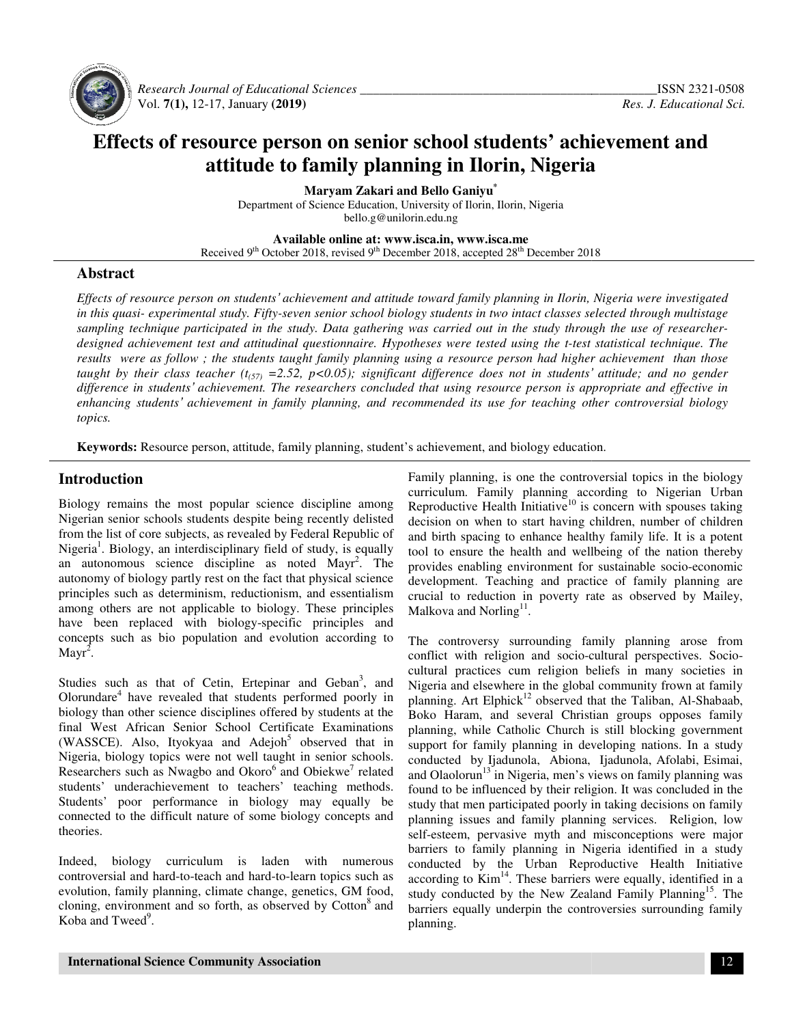

 *Research Journal of Educational Educational Sciences \_\_\_\_\_\_\_\_\_\_\_\_\_\_\_\_\_\_\_\_\_\_\_\_\_\_\_\_\_\_\_\_\_\_\_\_\_\_* Vol. **7(1),** 12-17, January **(2019 9)**

# Effects of resource person on senior school students' achievement and **attitude to family planning in Ilorin, Nigeria**

**Maryam Zakari and Bello Ganiyu\*** 

Department of Science Education, University of Ilorin, Ilorin, Nigeria bello.g@unilorin.edu.ng

**Available Available online at: www.isca.in, www.isca.me**  Received 9<sup>th</sup> October 2018, revised 9<sup>th</sup> December 2018, accepted 28<sup>th</sup> December 2018

## **Abstract**

Effects of resource person on students' achievement and attitude toward family planning in Ilorin, Nigeria were investigated in this quasi- experimental study. Fifty-seven senior school biology students in two intact classes selected through multistage sampling technique participated in the study. Data gathering was carried out in the study through the use of researcherdesigned achievement test and attitudinal questionnaire. Hypotheses were tested using the t-test statistical technique. The results were as follow; the students taught family planning using a resource person had higher achievement than those taught by their class teacher ( $t_{(57)} = 2.52$ ,  $p < 0.05$ ); significant difference does not in students' attitude; and no gender difference in students' achievement. The researchers concluded that using resource person is appropriate and effective in *inhancing students' achievement in family planning, and recommended its use for teaching other controversial biology topics.* 

Keywords: Resource person, attitude, family planning, student's achievement, and biology education.

# **Introduction**

Biology remains the most popular science discipline among<br>Nigerian senior schools students despite being recently delisted Nigerian senior schools students despite being recently from the list of core subjects, as revealed by Federal Republic of Nigeria<sup>1</sup>. Biology, an interdisciplinary field of study, is equally an autonomous science discipline as noted Mayr . The autonomy of biology partly rest on the fact that physical science principles such as determinism, reductionism, and essentialism among others are not applicable to biology. These principles have been replaced with biology-specific principles and concepts such as bio population and evolution according to Mayr<sup>2</sup>. have been replaced with biology-specific principles and concepts such as bio population and evolution according to Mayr<sup>2</sup>.<br>Studies such as that of Cetin, Ertepinar and Geban<sup>3</sup>, and If the list of core subjects, as revealed by Federal Repuria<sup>1</sup>. Biology, an interdisciplinary field of study, is controlled autonomous science discipline as noted Mayr<sup>2</sup>

Olorundare<sup>4</sup> have revealed that students performed poorly in biology than other science disciplines offered by students at the final West African Senior School Certificate Examinations (WASSCE). Also, Ityokyaa and Adejoh<sup>5</sup> observed that in Nigeria, biology topics were not well taught in senior schools. Nigeria, biology topics were not well taught in senior schools.<br>Researchers such as Nwagbo and Okoro<sup>6</sup> and Obiekwe<sup>7</sup> related students' underachievement to teachers' teaching methods. Students' poor performance in biology may equally be connected to the difficult nature of some biology concepts and theories. Students' poor performance in biology may equally be connected to the difficult nature of some biology concepts and theories.<br>Indeed, biology curriculum is laden with numerous nat students performed poorly in<br>ciplines offered by students at the<br>School Certificate Examinations<br>and Adejoh<sup>5</sup> observed that in

controversial and hard-to-teach and hard-to-learn topics such as evolution, family planning, climate change, genetics, GM food, evolution, family planning, climate change, genetics, GM food, cloning, environment and so forth, as observed by Cotton<sup>8</sup> and Koba and Tweed<sup>9</sup>.

Family planning, is one the controversial topics in the biology curriculum. Family planning according to Nigerian Urban Family planning, is one the controversial topics in the biology<br>curriculum. Family planning according to Nigerian Urban<br>Reproductive Health Initiative<sup>10</sup> is concern with spouses taking decision on when to start having children, number of children and birth spacing to enhance healthy family life. It is a potent tool to ensure the health and wellbeing of the nation thereby provides enabling environment for sustainable development. Teaching and practice of family planning are crucial to reduction in poverty rate as observed by Mailey, Malkova and Norling<sup>11</sup>. decision on when to start having children, number of children and birth spacing to enhance healthy family life. It is a potent tool to ensure the health and wellbeing of the nation thereby provides enabling environment for proment. Teaching and practice of family planning are<br>al to reduction in poverty rate as observed by Mailey,<br>by and Norling<sup>11</sup>.<br>controversy surrounding family planning arose from<br>ct with religion and socio-cultural perspe

The controversy surrounding family planning arose from conflict with religion and socio-cultural perspectives. Sociocultural practices cum religion beliefs in many societies in Nigeria and elsewhere in the global community frown at family cultural practices cum religion beliefs in many societies in<br>Nigeria and elsewhere in the global community frown at family<br>planning. Art Elphick<sup>12</sup> observed that the Taliban, Al-Shabaab, Boko Haram, and several Christian groups opposes family planning, while Catholic Church is still blocking government support for family planning in developing nations. In a study conducted by Ijadunola, Abiona, Ijadunola, Afolabi, Esimai, and Olaolorun $13$  in Nigeria, men's views on family planning was found to be influenced by their religion. It was concluded in the study that men participated poorly in taking decisions on family planning issues and family planning services. Religion, low self-esteem, pervasive myth and misconceptions were major barriers to family planning in Nigeria identified in a study conducted by the Urban Reproductive Health Initiative according to  $Kim<sup>14</sup>$ . These barriers were equally, identified in a study conducted by the New Zealand Family Planning<sup>15</sup>. The barriers equally underpin the controversies surrounding family planning. upport for family planning in developing nations. In a study conducted by Ijadunola, Abiona, Ijadunola, Afolabi, Esimai, and Olaolorun<sup>13</sup> in Nigeria, men's views on family planning was ound to be influenced by their relig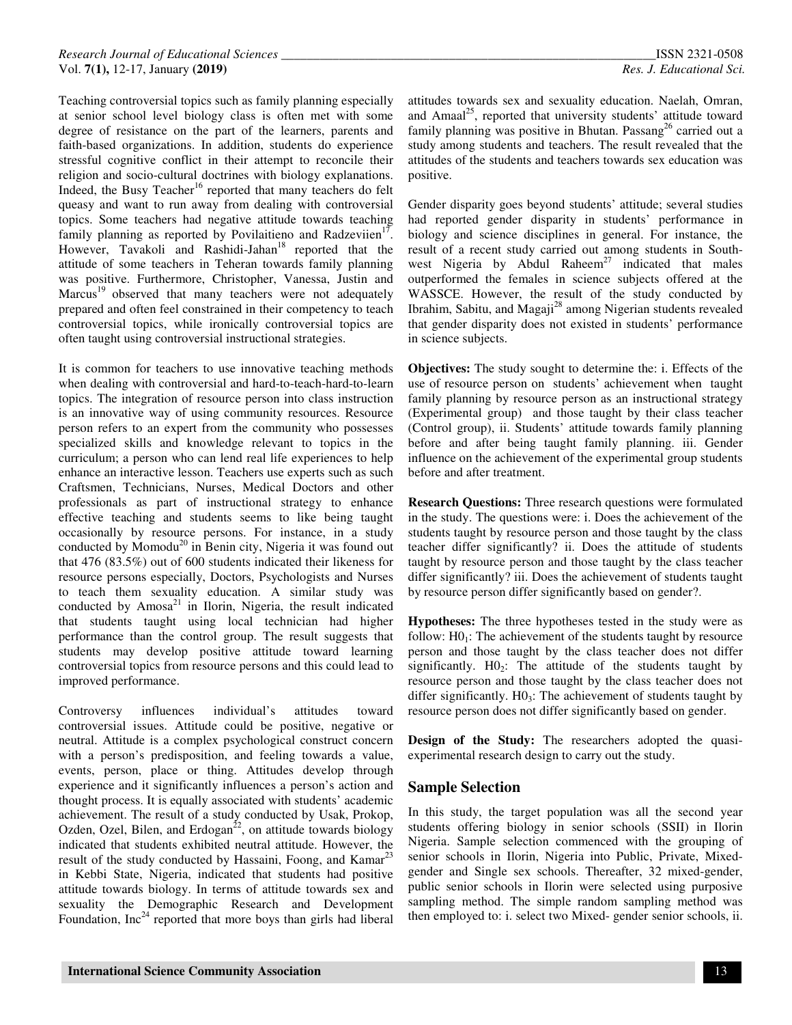Teaching controversial topics such as family planning especially at senior school level biology class is often met with some degree of resistance on the part of the learners, parents and faith-based organizations. In addition, students do experience stressful cognitive conflict in their attempt to reconcile their religion and socio-cultural doctrines with biology explanations. Indeed, the Busy Teacher<sup>16</sup> reported that many teachers do felt queasy and want to run away from dealing with controversial topics. Some teachers had negative attitude towards teaching family planning as reported by Povilaitieno and Radzeviien $1^7$ . However, Tavakoli and Rashidi-Jahan<sup>18</sup> reported that the attitude of some teachers in Teheran towards family planning was positive. Furthermore, Christopher, Vanessa, Justin and Marcus<sup>19</sup> observed that many teachers were not adequately prepared and often feel constrained in their competency to teach controversial topics, while ironically controversial topics are often taught using controversial instructional strategies.

It is common for teachers to use innovative teaching methods when dealing with controversial and hard-to-teach-hard-to-learn topics. The integration of resource person into class instruction is an innovative way of using community resources. Resource person refers to an expert from the community who possesses specialized skills and knowledge relevant to topics in the curriculum; a person who can lend real life experiences to help enhance an interactive lesson. Teachers use experts such as such Craftsmen, Technicians, Nurses, Medical Doctors and other professionals as part of instructional strategy to enhance effective teaching and students seems to like being taught occasionally by resource persons. For instance, in a study conducted by Momodu<sup>20</sup> in Benin city, Nigeria it was found out that 476 (83.5%) out of 600 students indicated their likeness for resource persons especially, Doctors, Psychologists and Nurses to teach them sexuality education. A similar study was conducted by  $Amosa<sup>21</sup>$  in Ilorin, Nigeria, the result indicated that students taught using local technician had higher performance than the control group. The result suggests that students may develop positive attitude toward learning controversial topics from resource persons and this could lead to improved performance.

Controversy influences individual's attitudes toward controversial issues. Attitude could be positive, negative or neutral. Attitude is a complex psychological construct concern with a person's predisposition, and feeling towards a value, events, person, place or thing. Attitudes develop through experience and it significantly influences a person's action and thought process. It is equally associated with students' academic achievement. The result of a study conducted by Usak, Prokop, Ozden, Ozel, Bilen, and Erdogan<sup>22</sup>, on attitude towards biology indicated that students exhibited neutral attitude. However, the result of the study conducted by Hassaini, Foong, and Kamar<sup>23</sup> in Kebbi State, Nigeria, indicated that students had positive attitude towards biology. In terms of attitude towards sex and sexuality the Demographic Research and Development Foundation,  $Inc^{24}$  reported that more boys than girls had liberal

attitudes towards sex and sexuality education. Naelah, Omran, and Amaal<sup>25</sup>, reported that university students' attitude toward family planning was positive in Bhutan. Passang<sup>26</sup> carried out a study among students and teachers. The result revealed that the attitudes of the students and teachers towards sex education was positive.

Gender disparity goes beyond students' attitude; several studies had reported gender disparity in students' performance in biology and science disciplines in general. For instance, the result of a recent study carried out among students in Southwest Nigeria by Abdul Raheem<sup>27</sup> indicated that males outperformed the females in science subjects offered at the WASSCE. However, the result of the study conducted by Ibrahim, Sabitu, and Magaji<sup>28</sup> among Nigerian students revealed that gender disparity does not existed in students' performance in science subjects.

**Objectives:** The study sought to determine the: i. Effects of the use of resource person on students' achievement when taught family planning by resource person as an instructional strategy (Experimental group) and those taught by their class teacher (Control group), ii. Students' attitude towards family planning before and after being taught family planning. iii. Gender influence on the achievement of the experimental group students before and after treatment.

**Research Questions:** Three research questions were formulated in the study. The questions were: i. Does the achievement of the students taught by resource person and those taught by the class teacher differ significantly? ii. Does the attitude of students taught by resource person and those taught by the class teacher differ significantly? iii. Does the achievement of students taught by resource person differ significantly based on gender?.

**Hypotheses:** The three hypotheses tested in the study were as follow:  $H_0$ : The achievement of the students taught by resource person and those taught by the class teacher does not differ significantly.  $H_0$ : The attitude of the students taught by resource person and those taught by the class teacher does not differ significantly.  $H0_3$ : The achievement of students taught by resource person does not differ significantly based on gender.

**Design of the Study:** The researchers adopted the quasiexperimental research design to carry out the study.

## **Sample Selection**

In this study, the target population was all the second year students offering biology in senior schools (SSII) in Ilorin Nigeria. Sample selection commenced with the grouping of senior schools in Ilorin, Nigeria into Public, Private, Mixedgender and Single sex schools. Thereafter, 32 mixed-gender, public senior schools in Ilorin were selected using purposive sampling method. The simple random sampling method was then employed to: i. select two Mixed- gender senior schools, ii.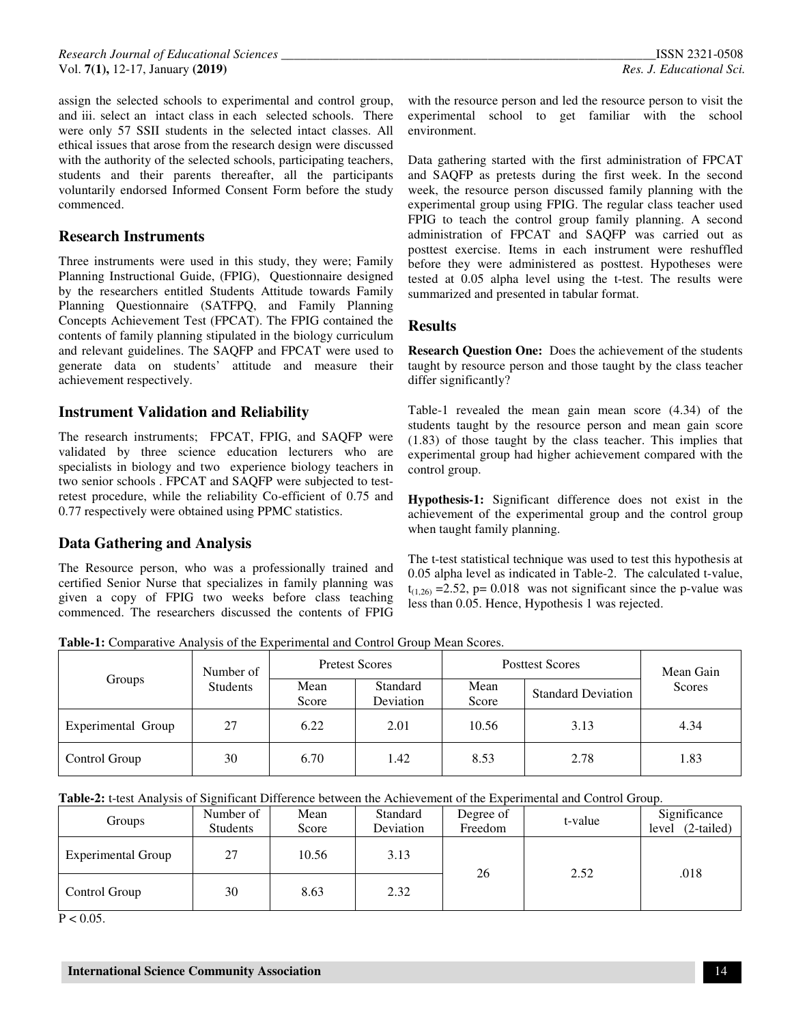assign the selected schools to experimental and control group, and iii. select an intact class in each selected schools. There were only 57 SSII students in the selected intact classes. All ethical issues that arose from the research design were discussed with the authority of the selected schools, participating teachers, students and their parents thereafter, all the participants voluntarily endorsed Informed Consent Form before the study commenced.

## **Research Instruments**

Three instruments were used in this study, they were; Family Planning Instructional Guide, (FPIG), Questionnaire designed by the researchers entitled Students Attitude towards Family Planning Questionnaire (SATFPQ, and Family Planning Concepts Achievement Test (FPCAT). The FPIG contained the contents of family planning stipulated in the biology curriculum and relevant guidelines. The SAQFP and FPCAT were used to generate data on students' attitude and measure their achievement respectively.

## **Instrument Validation and Reliability**

The research instruments; FPCAT, FPIG, and SAQFP were validated by three science education lecturers who are specialists in biology and two experience biology teachers in two senior schools . FPCAT and SAQFP were subjected to testretest procedure, while the reliability Co-efficient of 0.75 and 0.77 respectively were obtained using PPMC statistics.

# **Data Gathering and Analysis**

The Resource person, who was a professionally trained and certified Senior Nurse that specializes in family planning was given a copy of FPIG two weeks before class teaching commenced. The researchers discussed the contents of FPIG

with the resource person and led the resource person to visit the experimental school to get familiar with the school environment.

Data gathering started with the first administration of FPCAT and SAQFP as pretests during the first week. In the second week, the resource person discussed family planning with the experimental group using FPIG. The regular class teacher used FPIG to teach the control group family planning. A second administration of FPCAT and SAQFP was carried out as posttest exercise. Items in each instrument were reshuffled before they were administered as posttest. Hypotheses were tested at 0.05 alpha level using the t-test. The results were summarized and presented in tabular format.

#### **Results**

**Research Question One:** Does the achievement of the students taught by resource person and those taught by the class teacher differ significantly?

Table-1 revealed the mean gain mean score (4.34) of the students taught by the resource person and mean gain score (1.83) of those taught by the class teacher. This implies that experimental group had higher achievement compared with the control group.

**Hypothesis-1:** Significant difference does not exist in the achievement of the experimental group and the control group when taught family planning.

The t-test statistical technique was used to test this hypothesis at 0.05 alpha level as indicated in Table-2. The calculated t-value,  $t_{(1,26)} = 2.52$ , p= 0.018 was not significant since the p-value was less than 0.05. Hence, Hypothesis 1 was rejected.

**Table-1:** Comparative Analysis of the Experimental and Control Group Mean Scores.

| Groups             | Number of       | <b>Pretest Scores</b> |                       | <b>Posttest Scores</b> | Mean Gain                 |        |
|--------------------|-----------------|-----------------------|-----------------------|------------------------|---------------------------|--------|
|                    | <b>Students</b> | Mean<br>Score         | Standard<br>Deviation | Mean<br>Score          | <b>Standard Deviation</b> | Scores |
| Experimental Group | 27              | 6.22                  | 2.01                  | 10.56                  | 3.13                      | 4.34   |
| Control Group      | 30              | 6.70                  | 1.42                  | 8.53                   | 2.78                      | l.83   |

**Table-2:** t-test Analysis of Significant Difference between the Achievement of the Experimental and Control Group.

| Groups                    | Number of<br><b>Students</b> | Mean<br>Score | Standard<br>Deviation | Degree of<br>Freedom | t-value | Significance<br>$(2-tailed)$<br>level |
|---------------------------|------------------------------|---------------|-----------------------|----------------------|---------|---------------------------------------|
| <b>Experimental Group</b> | 27                           | 10.56         | 3.13                  | 26                   | 2.52    | .018                                  |
| Control Group             | 30                           | 8.63          | 2.32                  |                      |         |                                       |

 $P < 0.05$ .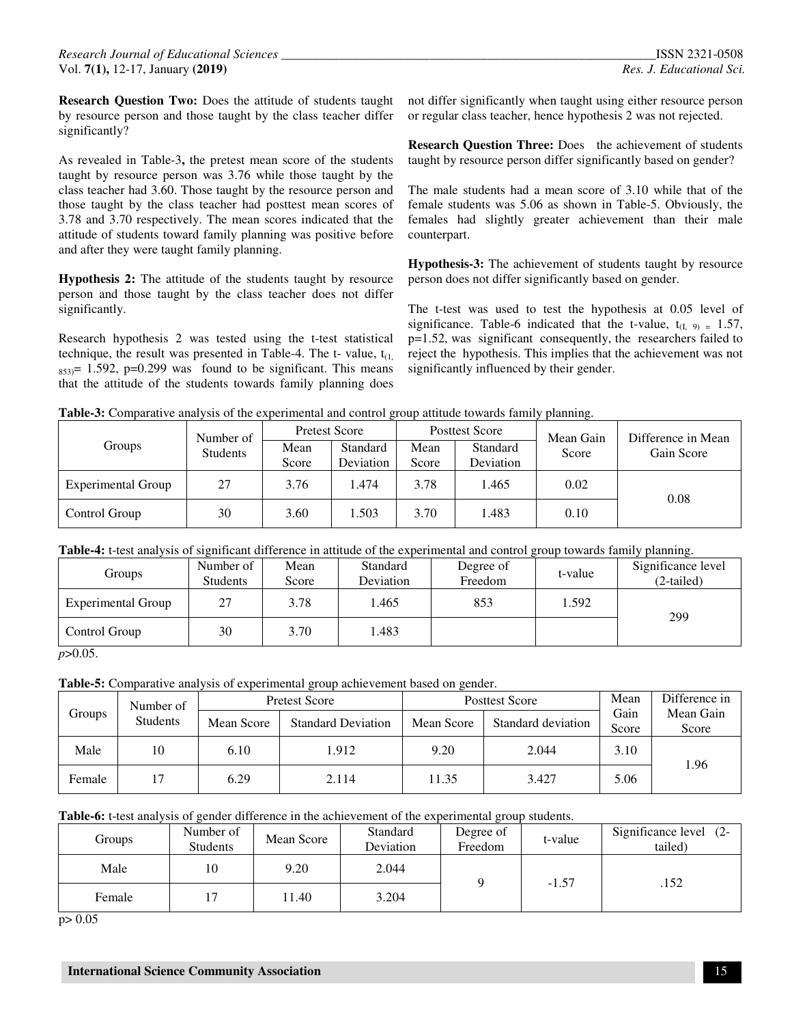**Research Question Two:** Does the attitude of students taught by resource person and those taught by the class teacher differ significantly?

As revealed in Table-3**,** the pretest mean score of the students taught by resource person was 3.76 while those taught by the class teacher had 3.60. Those taught by the resource person and those taught by the class teacher had posttest mean scores of 3.78 and 3.70 respectively. The mean scores indicated that the attitude of students toward family planning was positive before and after they were taught family planning.

**Hypothesis 2:** The attitude of the students taught by resource person and those taught by the class teacher does not differ significantly.

Research hypothesis 2 was tested using the t-test statistical technique, the result was presented in Table-4. The t- value,  $t_{(1)}$ ,  $_{853}=$  1.592, p=0.299 was found to be significant. This means that the attitude of the students towards family planning does

not differ significantly when taught using either resource person or regular class teacher, hence hypothesis 2 was not rejected.

**Research Question Three:** Does the achievement of students taught by resource person differ significantly based on gender?

The male students had a mean score of 3.10 while that of the female students was 5.06 as shown in Table-5. Obviously, the females had slightly greater achievement than their male counterpart.

**Hypothesis-3:** The achievement of students taught by resource person does not differ significantly based on gender.

The t-test was used to test the hypothesis at 0.05 level of significance. Table-6 indicated that the t-value,  $t_{(I, 9)} = 1.57$ , p=1.52, was significant consequently, the researchers failed to reject the hypothesis. This implies that the achievement was not significantly influenced by their gender.

|  |  | Table-3: Comparative analysis of the experimental and control group attitude towards family planning. |  |
|--|--|-------------------------------------------------------------------------------------------------------|--|
|  |  |                                                                                                       |  |

|                    | Number of       | <b>Pretest Score</b> |                       | Posttest Score |                       | Mean Gain | Difference in Mean |  |
|--------------------|-----------------|----------------------|-----------------------|----------------|-----------------------|-----------|--------------------|--|
| Groups             | <b>Students</b> | Mean<br>Score        | Standard<br>Deviation | Mean<br>Score  | Standard<br>Deviation | Score     | Gain Score         |  |
| Experimental Group | 27              | 3.76                 | .474                  | 3.78           | 1.465                 | 0.02      | 0.08               |  |
| Control Group      | 30              | 3.60                 | .503                  | 3.70           | L.483                 | 0.10      |                    |  |

#### **Table-4:** t-test analysis of significant difference in attitude of the experimental and control group towards family planning.

| <b>Groups</b>             | Number of<br><b>Students</b> | Mean<br>Score | Standard<br>Deviation | Degree of<br>Freedom | t-value | Significance level<br>$(2-tailed)$ |
|---------------------------|------------------------------|---------------|-----------------------|----------------------|---------|------------------------------------|
| <b>Experimental Group</b> | 27                           | 3.78          | 1.465                 | 853                  | 1.592   | 299                                |
| Control Group             | 30                           | 3.70          | 1.483                 |                      |         |                                    |

*p*>0.05.

**Table-5:** Comparative analysis of experimental group achievement based on gender.

| Number of |                 | <b>Pretest Score</b>                    |       |            | <b>Posttest Score</b> | Mean<br>Gain | Difference in      |
|-----------|-----------------|-----------------------------------------|-------|------------|-----------------------|--------------|--------------------|
| Groups    | <b>Students</b> | Mean Score<br><b>Standard Deviation</b> |       | Mean Score | Standard deviation    |              | Mean Gain<br>Score |
| Male      | 10              | 6.10                                    | 1.912 | 9.20       | 2.044                 | 3.10         | 1.96               |
| Female    |                 | 6.29                                    | 2.114 | 11.35      | 3.427                 | 5.06         |                    |

**Table-6:** t-test analysis of gender difference in the achievement of the experimental group students.

| Groups | Number of<br><b>Students</b> | Mean Score | Standard<br>Deviation | Degree of<br>Freedom | t-value | Significance level (2-<br>tailed) |
|--------|------------------------------|------------|-----------------------|----------------------|---------|-----------------------------------|
| Male   | 10                           | 9.20       | 2.044                 |                      | $-1.57$ | .152                              |
| Female | $\overline{ }$               | 1.40       | 3.204                 |                      |         |                                   |

p> 0.05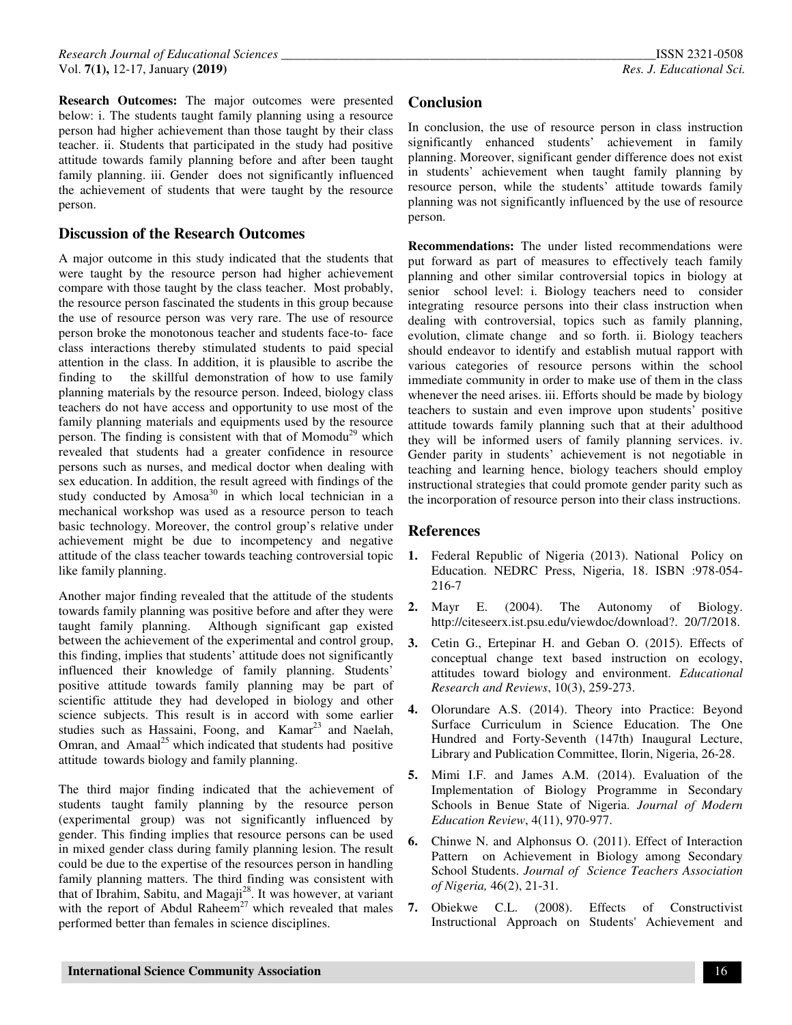**Research Outcomes:** The major outcomes were presented below: i. The students taught family planning using a resource person had higher achievement than those taught by their class teacher. ii. Students that participated in the study had positive attitude towards family planning before and after been taught family planning. iii. Gender does not significantly influenced the achievement of students that were taught by the resource person.

# **Discussion of the Research Outcomes**

A major outcome in this study indicated that the students that were taught by the resource person had higher achievement compare with those taught by the class teacher. Most probably, the resource person fascinated the students in this group because the use of resource person was very rare. The use of resource person broke the monotonous teacher and students face-to- face class interactions thereby stimulated students to paid special attention in the class. In addition, it is plausible to ascribe the finding to the skillful demonstration of how to use family planning materials by the resource person. Indeed, biology class teachers do not have access and opportunity to use most of the family planning materials and equipments used by the resource person. The finding is consistent with that of Momodu<sup>29</sup> which revealed that students had a greater confidence in resource persons such as nurses, and medical doctor when dealing with sex education. In addition, the result agreed with findings of the study conducted by  $Amosa<sup>30</sup>$  in which local technician in a mechanical workshop was used as a resource person to teach basic technology. Moreover, the control group's relative under achievement might be due to incompetency and negative attitude of the class teacher towards teaching controversial topic like family planning.

Another major finding revealed that the attitude of the students towards family planning was positive before and after they were taught family planning. Although significant gap existed between the achievement of the experimental and control group, this finding, implies that students' attitude does not significantly influenced their knowledge of family planning. Students' positive attitude towards family planning may be part of scientific attitude they had developed in biology and other science subjects. This result is in accord with some earlier studies such as Hassaini, Foong, and Kamar<sup>23</sup> and Naelah, Omran, and Amaal<sup>25</sup> which indicated that students had positive attitude towards biology and family planning.

The third major finding indicated that the achievement of students taught family planning by the resource person (experimental group) was not significantly influenced by gender. This finding implies that resource persons can be used in mixed gender class during family planning lesion. The result could be due to the expertise of the resources person in handling family planning matters. The third finding was consistent with that of Ibrahim, Sabitu, and Magaji<sup>28</sup>. It was however, at variant with the report of Abdul Raheem<sup>27</sup> which revealed that males performed better than females in science disciplines.

# **Conclusion**

In conclusion, the use of resource person in class instruction significantly enhanced students' achievement in family planning. Moreover, significant gender difference does not exist in students' achievement when taught family planning by resource person, while the students' attitude towards family planning was not significantly influenced by the use of resource person.

**Recommendations:** The under listed recommendations were put forward as part of measures to effectively teach family planning and other similar controversial topics in biology at senior school level: i. Biology teachers need to consider integrating resource persons into their class instruction when dealing with controversial, topics such as family planning, evolution, climate change and so forth. ii. Biology teachers should endeavor to identify and establish mutual rapport with various categories of resource persons within the school immediate community in order to make use of them in the class whenever the need arises. iii. Efforts should be made by biology teachers to sustain and even improve upon students' positive attitude towards family planning such that at their adulthood they will be informed users of family planning services. iv. Gender parity in students' achievement is not negotiable in teaching and learning hence, biology teachers should employ instructional strategies that could promote gender parity such as the incorporation of resource person into their class instructions.

## **References**

- **1.** Federal Republic of Nigeria (2013). National Policy on Education. NEDRC Press, Nigeria, 18. ISBN :978-054- 216-7
- **2.** Mayr E. (2004). The Autonomy of Biology. http://citeseerx.ist.psu.edu/viewdoc/download?. 20/7/2018.
- **3.** Cetin G., Ertepinar H. and Geban O. (2015). Effects of conceptual change text based instruction on ecology, attitudes toward biology and environment. *Educational Research and Reviews*, 10(3), 259-273.
- **4.** Olorundare A.S. (2014). Theory into Practice: Beyond Surface Curriculum in Science Education. The One Hundred and Forty-Seventh (147th) Inaugural Lecture, Library and Publication Committee, Ilorin, Nigeria, 26-28.
- **5.** Mimi I.F. and James A.M. (2014). Evaluation of the Implementation of Biology Programme in Secondary Schools in Benue State of Nigeria. *Journal of Modern Education Review*, 4(11), 970-977.
- **6.** Chinwe N. and Alphonsus O. (2011). Effect of Interaction Pattern on Achievement in Biology among Secondary School Students. *Journal of Science Teachers Association of Nigeria,* 46(2), 21-31.
- **7.** Obiekwe C.L. (2008). Effects of Constructivist Instructional Approach on Students' Achievement and